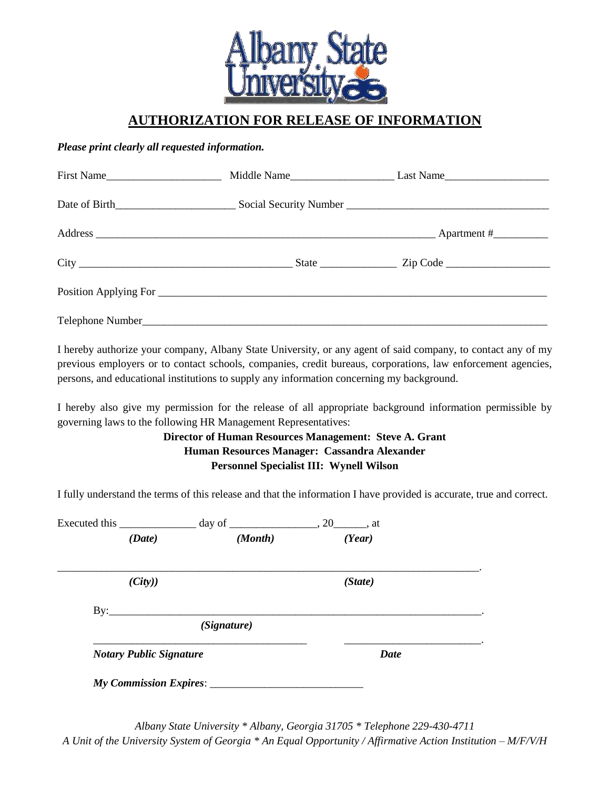

## **AUTHORIZATION FOR RELEASE OF INFORMATION**

#### *Please print clearly all requested information.*

| First Name |  |
|------------|--|
|            |  |
|            |  |
|            |  |
|            |  |
|            |  |

I hereby authorize your company, Albany State University, or any agent of said company, to contact any of my previous employers or to contact schools, companies, credit bureaus, corporations, law enforcement agencies, persons, and educational institutions to supply any information concerning my background.

I hereby also give my permission for the release of all appropriate background information permissible by governing laws to the following HR Management Representatives:

#### **Director of Human Resources Management: Steve A. Grant Human Resources Manager: Cassandra Alexander Personnel Specialist III: Wynell Wilson**

I fully understand the terms of this release and that the information I have provided is accurate, true and correct.

| Executed this                  |             |             |  |
|--------------------------------|-------------|-------------|--|
| (Date)                         | (Month)     | (Year)      |  |
| (City)                         |             | (State)     |  |
| By:                            | (Signature) |             |  |
| <b>Notary Public Signature</b> |             | <b>Date</b> |  |

*Albany State University \* Albany, Georgia 31705 \* Telephone 229-430-4711 A Unit of the University System of Georgia \* An Equal Opportunity / Affirmative Action Institution – M/F/V/H*